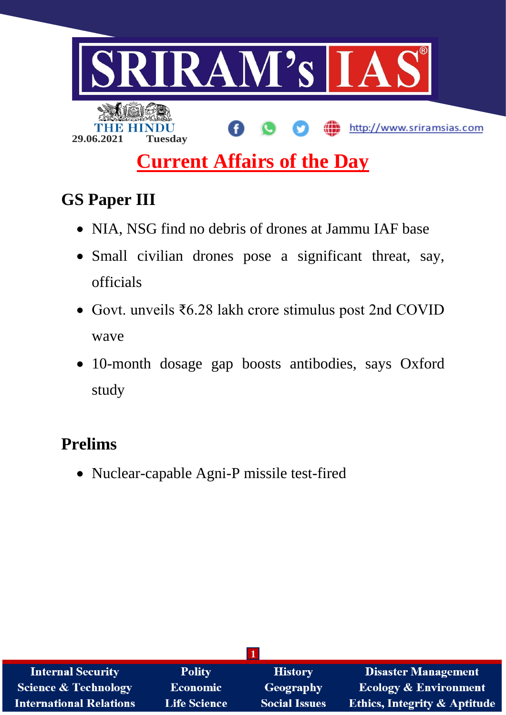

# **GS Paper III**

- NIA, NSG find no debris of drones at Jammu IAF base
- Small civilian drones pose a significant threat, say, officials
- Govt. unveils ₹6.28 lakh crore stimulus post 2nd COVID wave
- 10-month dosage gap boosts antibodies, says Oxford study

# **Prelims**

Nuclear-capable Agni-P missile test-fired

| <b>Internal Security</b>        | <b>Polity</b>       | <b>History</b>       | <b>Disaster Management</b>              |
|---------------------------------|---------------------|----------------------|-----------------------------------------|
| <b>Science &amp; Technology</b> | Economic            | <b>Geography</b>     | <b>Ecology &amp; Environment</b>        |
| <b>International Relations</b>  | <b>Life Science</b> | <b>Social Issues</b> | <b>Ethics, Integrity &amp; Aptitude</b> |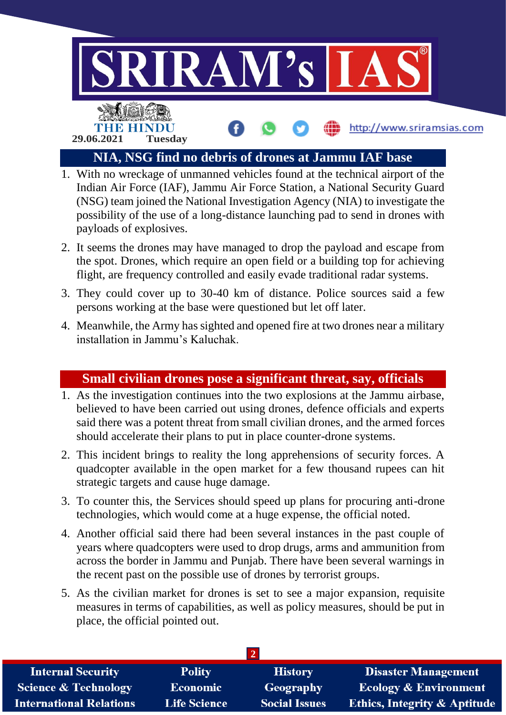

## **NIA, NSG find no debris of drones at Jammu IAF base**

- 1. With no wreckage of unmanned vehicles found at the technical airport of the Indian Air Force (IAF), Jammu Air Force Station, a National Security Guard (NSG) team joined the National Investigation Agency (NIA) to investigate the possibility of the use of a long-distance launching pad to send in drones with payloads of explosives.
- 2. It seems the drones may have managed to drop the payload and escape from the spot. Drones, which require an open field or a building top for achieving flight, are frequency controlled and easily evade traditional radar systems.
- 3. They could cover up to 30-40 km of distance. Police sources said a few persons working at the base were questioned but let off later.
- 4. Meanwhile, the Army has sighted and opened fire at two drones near a military installation in Jammu's Kaluchak.

## **Small civilian drones pose a significant threat, say, officials**

- 1. As the investigation continues into the two explosions at the Jammu airbase, believed to have been carried out using drones, defence officials and experts said there was a potent threat from small civilian drones, and the armed forces should accelerate their plans to put in place counter-drone systems.
- 2. This incident brings to reality the long apprehensions of security forces. A quadcopter available in the open market for a few thousand rupees can hit strategic targets and cause huge damage.
- 3. To counter this, the Services should speed up plans for procuring anti-drone technologies, which would come at a huge expense, the official noted.
- 4. Another official said there had been several instances in the past couple of years where quadcopters were used to drop drugs, arms and ammunition from across the border in Jammu and Punjab. There have been several warnings in the recent past on the possible use of drones by terrorist groups.
- 5. As the civilian market for drones is set to see a major expansion, requisite measures in terms of capabilities, as well as policy measures, should be put in place, the official pointed out.

| <b>Internal Security</b>        | <b>Polity</b>       | <b>History</b>       | <b>Disaster Management</b>              |
|---------------------------------|---------------------|----------------------|-----------------------------------------|
| <b>Science &amp; Technology</b> | <b>Economic</b>     | Geography            | <b>Ecology &amp; Environment</b>        |
| <b>International Relations</b>  | <b>Life Science</b> | <b>Social Issues</b> | <b>Ethics, Integrity &amp; Aptitude</b> |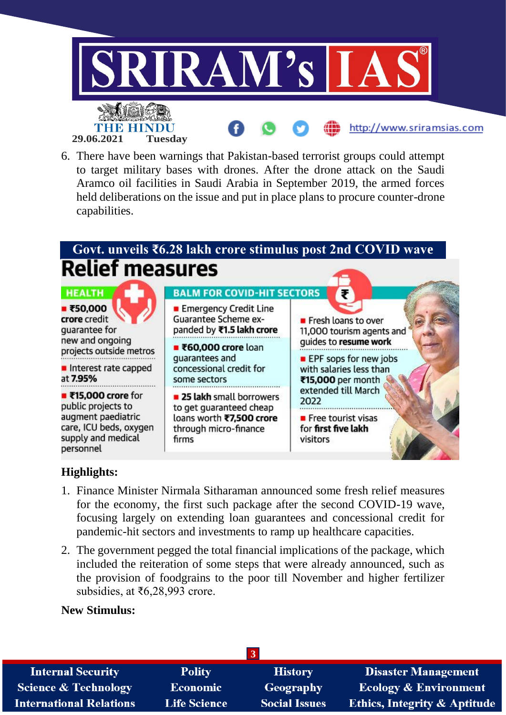

6. There have been warnings that Pakistan-based terrorist groups could attempt to target military bases with drones. After the drone attack on the Saudi Aramco oil facilities in Saudi Arabia in September 2019, the armed forces held deliberations on the issue and put in place plans to procure counter-drone capabilities.

# **Govt. unveils ₹6.28 lakh crore stimulus post 2nd COVID wave Relief measures**



## **Highlights:**

- 1. Finance Minister Nirmala Sitharaman announced some fresh relief measures for the economy, the first such package after the second COVID-19 wave, focusing largely on extending loan guarantees and concessional credit for pandemic-hit sectors and investments to ramp up healthcare capacities.
- 2. The government pegged the total financial implications of the package, which included the reiteration of some steps that were already announced, such as the provision of foodgrains to the poor till November and higher fertilizer subsidies, at ₹6,28,993 crore.

#### **New Stimulus:**

| <b>Internal Security</b>        | <b>Polity</b>       | <b>History</b>       | <b>Disaster Management</b>              |
|---------------------------------|---------------------|----------------------|-----------------------------------------|
| <b>Science &amp; Technology</b> | <b>Economic</b>     | Geography            | <b>Ecology &amp; Environment</b>        |
| <b>International Relations</b>  | <b>Life Science</b> | <b>Social Issues</b> | <b>Ethics, Integrity &amp; Aptitude</b> |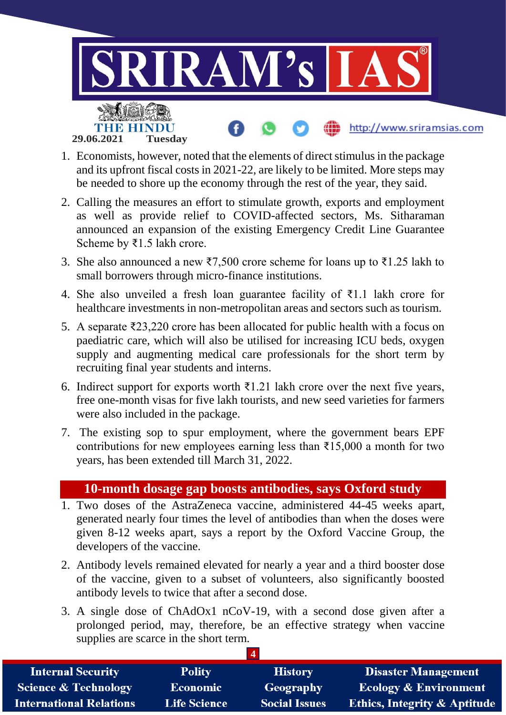

- 1. Economists, however, noted that the elements of direct stimulus in the package and its upfront fiscal costs in 2021-22, are likely to be limited. More steps may be needed to shore up the economy through the rest of the year, they said.
- 2. Calling the measures an effort to stimulate growth, exports and employment as well as provide relief to COVID-affected sectors, Ms. Sitharaman announced an expansion of the existing Emergency Credit Line Guarantee Scheme by ₹1.5 lakh crore.
- 3. She also announced a new ₹7,500 crore scheme for loans up to ₹1.25 lakh to small borrowers through micro-finance institutions.
- 4. She also unveiled a fresh loan guarantee facility of  $\bar{\tau}$ 1.1 lakh crore for healthcare investments in non-metropolitan areas and sectors such as tourism.
- 5. A separate ₹23,220 crore has been allocated for public health with a focus on paediatric care, which will also be utilised for increasing ICU beds, oxygen supply and augmenting medical care professionals for the short term by recruiting final year students and interns.
- 6. Indirect support for exports worth  $\bar{\tau}$ 1.21 lakh crore over the next five years, free one-month visas for five lakh tourists, and new seed varieties for farmers were also included in the package.
- 7. The existing sop to spur employment, where the government bears EPF contributions for new employees earning less than  $\overline{\text{215,000}}$  a month for two years, has been extended till March 31, 2022.

## **10-month dosage gap boosts antibodies, says Oxford study**

- 1. Two doses of the AstraZeneca vaccine, administered 44-45 weeks apart, generated nearly four times the level of antibodies than when the doses were given 8-12 weeks apart, says a report by the Oxford Vaccine Group, the developers of the vaccine.
- 2. Antibody levels remained elevated for nearly a year and a third booster dose of the vaccine, given to a subset of volunteers, also significantly boosted antibody levels to twice that after a second dose.
- 3. A single dose of ChAdOx1 nCoV-19, with a second dose given after a prolonged period, may, therefore, be an effective strategy when vaccine supplies are scarce in the short term.

| <b>Internal Security</b>        | <b>Polity</b>       | <b>History</b>       | <b>Disaster Management</b>              |
|---------------------------------|---------------------|----------------------|-----------------------------------------|
| <b>Science &amp; Technology</b> | <b>Economic</b>     | Geography            | <b>Ecology &amp; Environment</b>        |
| <b>International Relations</b>  | <b>Life Science</b> | <b>Social Issues</b> | <b>Ethics, Integrity &amp; Aptitude</b> |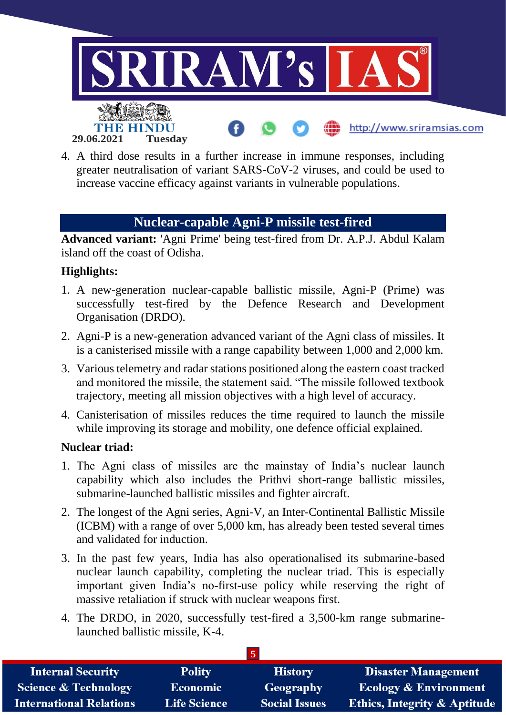

4. A third dose results in a further increase in immune responses, including greater neutralisation of variant SARS-CoV-2 viruses, and could be used to increase vaccine efficacy against variants in vulnerable populations.

## **Nuclear-capable Agni-P missile test-fired**

**Advanced variant:** 'Agni Prime' being test-fired from Dr. A.P.J. Abdul Kalam island off the coast of Odisha.

## **Highlights:**

- 1. A new-generation nuclear-capable ballistic missile, Agni-P (Prime) was successfully test-fired by the Defence Research and Development Organisation (DRDO).
- 2. Agni-P is a new-generation advanced variant of the Agni class of missiles. It is a canisterised missile with a range capability between 1,000 and 2,000 km.
- 3. Various telemetry and radar stations positioned along the eastern coast tracked and monitored the missile, the statement said. "The missile followed textbook trajectory, meeting all mission objectives with a high level of accuracy.
- 4. Canisterisation of missiles reduces the time required to launch the missile while improving its storage and mobility, one defence official explained.

## **Nuclear triad:**

- 1. The Agni class of missiles are the mainstay of India's nuclear launch capability which also includes the Prithvi short-range ballistic missiles, submarine-launched ballistic missiles and fighter aircraft.
- 2. The longest of the Agni series, Agni-V, an Inter-Continental Ballistic Missile (ICBM) with a range of over 5,000 km, has already been tested several times and validated for induction.
- 3. In the past few years, India has also operationalised its submarine-based nuclear launch capability, completing the nuclear triad. This is especially important given India's no-first-use policy while reserving the right of massive retaliation if struck with nuclear weapons first.
- 4. The DRDO, in 2020, successfully test-fired a 3,500-km range submarinelaunched ballistic missile, K-4.

| <b>Internal Security</b>        | <b>Polity</b>       | <b>History</b>       | <b>Disaster Management</b>              |
|---------------------------------|---------------------|----------------------|-----------------------------------------|
| <b>Science &amp; Technology</b> | <b>Economic</b>     | Geography            | <b>Ecology &amp; Environment</b>        |
| <b>International Relations</b>  | <b>Life Science</b> | <b>Social Issues</b> | <b>Ethics, Integrity &amp; Aptitude</b> |